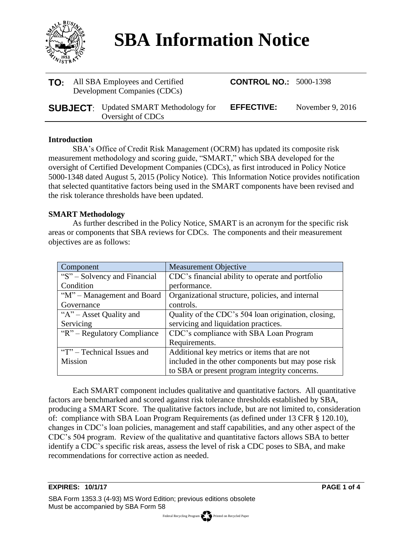

# **SBA Information Notice**

| <b>TO:</b> All SBA Employees and Certified<br>Development Companies (CDCs) |                                                                    | <b>CONTROL NO.: 5000-1398</b> |                    |
|----------------------------------------------------------------------------|--------------------------------------------------------------------|-------------------------------|--------------------|
|                                                                            | <b>SUBJECT:</b> Updated SMART Methodology for<br>Oversight of CDCs | <b>EFFECTIVE:</b>             | November 9, $2016$ |

#### **Introduction**

SBA's Office of Credit Risk Management (OCRM) has updated its composite risk measurement methodology and scoring guide, "SMART," which SBA developed for the oversight of Certified Development Companies (CDCs), as first introduced in Policy Notice 5000-1348 dated August 5, 2015 (Policy Notice). This Information Notice provides notification that selected quantitative factors being used in the SMART components have been revised and the risk tolerance thresholds have been updated.

### **SMART Methodology**

As further described in the Policy Notice, SMART is an acronym for the specific risk areas or components that SBA reviews for CDCs. The components and their measurement objectives are as follows:

| Component                    | <b>Measurement Objective</b>                        |
|------------------------------|-----------------------------------------------------|
| "S" - Solvency and Financial | CDC's financial ability to operate and portfolio    |
| Condition                    | performance.                                        |
| "M" – Management and Board   | Organizational structure, policies, and internal    |
| Governance                   | controls.                                           |
| " $A$ " – Asset Quality and  | Quality of the CDC's 504 loan origination, closing, |
| Servicing                    | servicing and liquidation practices.                |
| "R" – Regulatory Compliance  | CDC's compliance with SBA Loan Program              |
|                              | Requirements.                                       |
| "T" – Technical Issues and   | Additional key metrics or items that are not        |
| Mission                      | included in the other components but may pose risk  |
|                              | to SBA or present program integrity concerns.       |

Each SMART component includes qualitative and quantitative factors. All quantitative factors are benchmarked and scored against risk tolerance thresholds established by SBA, producing a SMART Score. The qualitative factors include, but are not limited to, consideration of: compliance with SBA Loan Program Requirements (as defined under 13 CFR § 120.10), changes in CDC's loan policies, management and staff capabilities, and any other aspect of the CDC's 504 program. Review of the qualitative and quantitative factors allows SBA to better identify a CDC's specific risk areas, assess the level of risk a CDC poses to SBA, and make recommendations for corrective action as needed.

#### **EXPIRES: 10/1/17 PAGE 1 of 4**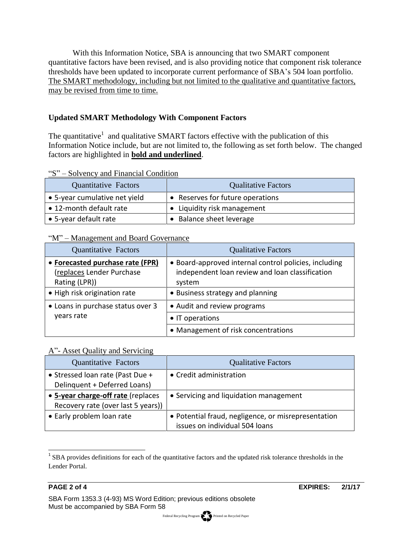With this Information Notice, SBA is announcing that two SMART component quantitative factors have been revised, and is also providing notice that component risk tolerance thresholds have been updated to incorporate current performance of SBA's 504 loan portfolio. The SMART methodology, including but not limited to the qualitative and quantitative factors, may be revised from time to time.

# **Updated SMART Methodology With Component Factors**

The quantitative<sup>1</sup> and qualitative SMART factors effective with the publication of this Information Notice include, but are not limited to, the following as set forth below. The changed factors are highlighted in **bold and underlined**.

### "S" – Solvency and Financial Condition

| <b>Quantitative Factors</b>   | <b>Qualitative Factors</b>       |
|-------------------------------|----------------------------------|
| • 5-year cumulative net yield | • Reserves for future operations |
| • 12-month default rate       | • Liquidity risk management      |
| • 5-year default rate         | • Balance sheet leverage         |

## "M" – Management and Board Governance

| <b>Quantitative Factors</b>                                                    | <b>Qualitative Factors</b>                                                                                         |
|--------------------------------------------------------------------------------|--------------------------------------------------------------------------------------------------------------------|
| • Forecasted purchase rate (FPR)<br>(replaces Lender Purchase<br>Rating (LPR)) | • Board-approved internal control policies, including<br>independent loan review and loan classification<br>system |
| • High risk origination rate                                                   | • Business strategy and planning                                                                                   |
| • Loans in purchase status over 3                                              | • Audit and review programs                                                                                        |
| years rate                                                                     | • IT operations                                                                                                    |
|                                                                                | • Management of risk concentrations                                                                                |

# A"- Asset Quality and Servicing

| <b>Quantitative Factors</b>        | <b>Qualitative Factors</b>                          |
|------------------------------------|-----------------------------------------------------|
| • Stressed Ioan rate (Past Due +   | • Credit administration                             |
| Delinquent + Deferred Loans)       |                                                     |
| • 5-year charge-off rate (replaces | • Servicing and liquidation management              |
| Recovery rate (over last 5 years)) |                                                     |
| • Early problem loan rate          | • Potential fraud, negligence, or misrepresentation |
|                                    | issues on individual 504 loans                      |

<sup>&</sup>lt;sup>1</sup> SBA provides definitions for each of the quantitative factors and the updated risk tolerance thresholds in the Lender Portal.

l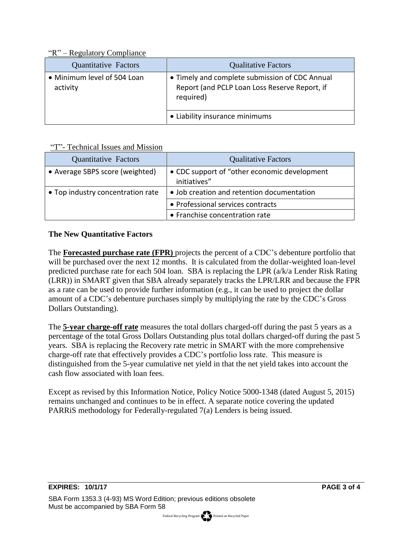"R" – Regulatory Compliance

| <b>Quantitative Factors</b>             | <b>Qualitative Factors</b>                                                                                   |
|-----------------------------------------|--------------------------------------------------------------------------------------------------------------|
| • Minimum level of 504 Loan<br>activity | • Timely and complete submission of CDC Annual<br>Report (and PCLP Loan Loss Reserve Report, if<br>required) |
|                                         | • Liability insurance minimums                                                                               |

# "T"- Technical Issues and Mission

| <b>Quantitative Factors</b>       | <b>Qualitative Factors</b>                                    |
|-----------------------------------|---------------------------------------------------------------|
| • Average SBPS score (weighted)   | • CDC support of "other economic development"<br>initiatives" |
| • Top industry concentration rate | • Job creation and retention documentation                    |
|                                   | • Professional services contracts                             |
|                                   | • Franchise concentration rate                                |

# **The New Quantitative Factors**

The **Forecasted purchase rate (FPR)** projects the percent of a CDC's debenture portfolio that will be purchased over the next 12 months. It is calculated from the dollar-weighted loan-level predicted purchase rate for each 504 loan. SBA is replacing the LPR (a/k/a Lender Risk Rating (LRR)) in SMART given that SBA already separately tracks the LPR/LRR and because the FPR as a rate can be used to provide further information (e.g., it can be used to project the dollar amount of a CDC's debenture purchases simply by multiplying the rate by the CDC's Gross Dollars Outstanding).

The **5-year charge-off rate** measures the total dollars charged-off during the past 5 years as a percentage of the total Gross Dollars Outstanding plus total dollars charged-off during the past 5 years. SBA is replacing the Recovery rate metric in SMART with the more comprehensive charge-off rate that effectively provides a CDC's portfolio loss rate. This measure is distinguished from the 5-year cumulative net yield in that the net yield takes into account the cash flow associated with loan fees.

Except as revised by this Information Notice, Policy Notice 5000-1348 (dated August 5, 2015) remains unchanged and continues to be in effect. A separate notice covering the updated PARRiS methodology for Federally-regulated 7(a) Lenders is being issued.